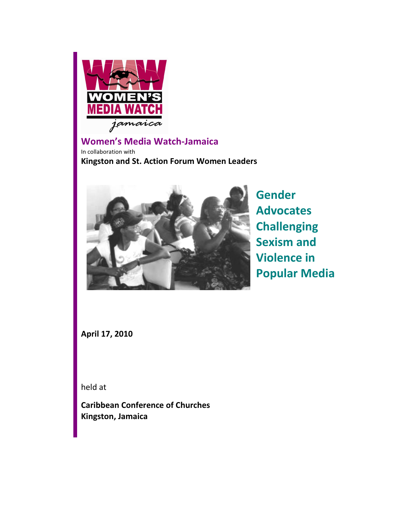

# Women's Media Watch-Jamaica

In collaboration with Kingston and St. Action Forum Women Leaders



Gender Advocates **Challenging** Sexism and Violence in Popular Media

April 17, 2010

held at

Caribbean Conference of Churches Kingston, Jamaica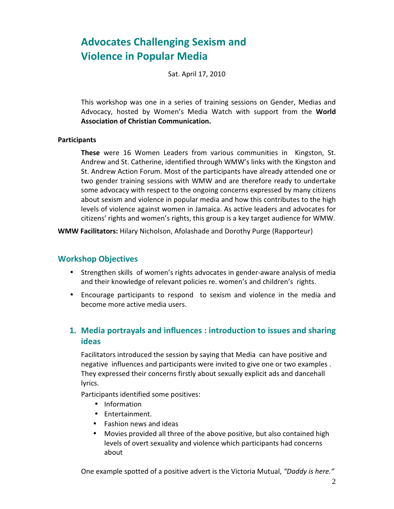# Advocates Challenging Sexism and Violence in Popular Media

Sat. April 17, 2010

This workshop was one in a series of training sessions on Gender, Medias and Advocacy, hosted by Women's Media Watch with support from the World Association of Christian Communication.

#### **Participants**

These were 16 Women Leaders from various communities in Kingston, St. Andrew and St. Catherine, identified through WMW's links with the Kingston and St. Andrew Action Forum. Most of the participants have already attended one or two gender training sessions with WMW and are therefore ready to undertake some advocacy with respect to the ongoing concerns expressed by many citizens about sexism and violence in popular media and how this contributes to the high levels of violence against women in Jamaica. As active leaders and advocates for citizens' rights and women's rights, this group is a key target audience for WMW.

WMW Facilitators: Hilary Nicholson, Afolashade and Dorothy Purge (Rapporteur)

### Workshop Objectives

- Strengthen skills of women's rights advocates in gender-aware analysis of media and their knowledge of relevant policies re. women's and children's rights.
- Encourage participants to respond to sexism and violence in the media and become more active media users.

### 1. Media portrayals and influences : introduction to issues and sharing ideas

Facilitators introduced the session by saying that Media can have positive and negative influences and participants were invited to give one or two examples . They expressed their concerns firstly about sexually explicit ads and dancehall lyrics.

Participants identified some positives:

- Information
- Entertainment.
- Fashion news and ideas
- Movies provided all three of the above positive, but also contained high levels of overt sexuality and violence which participants had concerns about

One example spotted of a positive advert is the Victoria Mutual, "Daddy is here."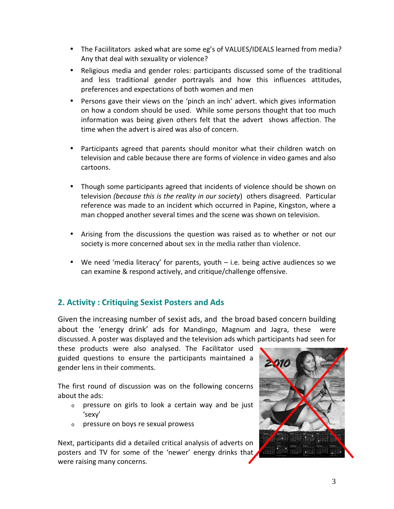- The Faciilitators asked what are some eg's of VALUES/IDEALS learned from media? Any that deal with sexuality or violence?
- Religious media and gender roles: participants discussed some of the traditional and less traditional gender portrayals and how this influences attitudes, preferences and expectations of both women and men
- Persons gave their views on the 'pinch an inch' advert. which gives information on how a condom should be used. While some persons thought that too much information was being given others felt that the advert shows affection. The time when the advert is aired was also of concern.
- Participants agreed that parents should monitor what their children watch on television and cable because there are forms of violence in video games and also cartoons.
- Though some participants agreed that incidents of violence should be shown on television (because this is the reality in our society) others disagreed. Particular reference was made to an incident which occurred in Papine, Kingston, where a man chopped another several times and the scene was shown on television.
- Arising from the discussions the question was raised as to whether or not our society is more concerned about sex in the media rather than violence.
- We need 'media literacy' for parents, youth i.e. being active audiences so we can examine & respond actively, and critique/challenge offensive.

# 2. Activity : Critiquing Sexist Posters and Ads

Given the increasing number of sexist ads, and the broad based concern building about the 'energy drink' ads for Mandingo, Magnum and Jagra, these were discussed. A poster was displayed and the television ads which participants had seen for

these products were also analysed. The Facilitator used guided questions to ensure the participants maintained a gender lens in their comments.

The first round of discussion was on the following concerns about the ads:

- <sup>o</sup> pressure on girls to look a certain way and be just 'sexy'
- <sup>o</sup> pressure on boys re sexual prowess

Next, participants did a detailed critical analysis of adverts on posters and TV for some of the 'newer' energy drinks that were raising many concerns.

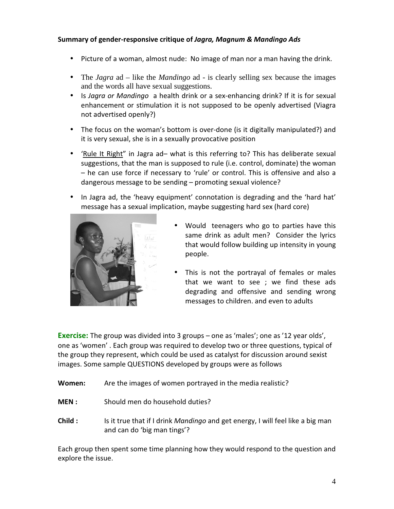#### Summary of gender-responsive critique of Jagra, Magnum & Mandingo Ads

- Picture of a woman, almost nude: No image of man nor a man having the drink.
- The *Jagra* ad like the *Mandingo* ad is clearly selling sex because the images and the words all have sexual suggestions.
- Is Jagra or Mandingo a health drink or a sex-enhancing drink? If it is for sexual enhancement or stimulation it is not supposed to be openly advertised (Viagra not advertised openly?)
- The focus on the woman's bottom is over-done (is it digitally manipulated?) and it is very sexual, she is in a sexually provocative position
- 'Rule It Right" in Jagra ad– what is this referring to? This has deliberate sexual suggestions, that the man is supposed to rule (i.e. control, dominate) the woman – he can use force if necessary to 'rule' or control. This is offensive and also a dangerous message to be sending – promoting sexual violence?
- In Jagra ad, the 'heavy equipment' connotation is degrading and the 'hard hat' message has a sexual implication, maybe suggesting hard sex (hard core)



- Would teenagers who go to parties have this same drink as adult men? Consider the lyrics that would follow building up intensity in young people.
- This is not the portrayal of females or males that we want to see ; we find these ads degrading and offensive and sending wrong messages to children. and even to adults

**Exercise:** The group was divided into 3 groups – one as 'males'; one as '12 year olds', one as 'women' . Each group was required to develop two or three questions, typical of the group they represent, which could be used as catalyst for discussion around sexist images. Some sample QUESTIONS developed by groups were as follows

- Women: Are the images of women portrayed in the media realistic?
- MEN : Should men do household duties?
- Child : Is it true that if I drink Mandingo and get energy, I will feel like a big man and can do 'big man tings'?

Each group then spent some time planning how they would respond to the question and explore the issue.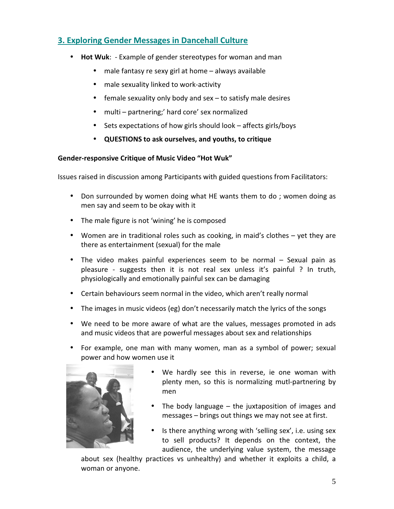# 3. Exploring Gender Messages in Dancehall Culture

- Hot Wuk: Example of gender stereotypes for woman and man
	- male fantasy re sexy girl at home always available
	- male sexuality linked to work-activity
	- female sexuality only body and sex  $-$  to satisfy male desires
	- multi partnering;' hard core' sex normalized
	- Sets expectations of how girls should look affects girls/boys
	- QUESTIONS to ask ourselves, and youths, to critique

#### Gender-responsive Critique of Music Video "Hot Wuk"

Issues raised in discussion among Participants with guided questions from Facilitators:

- Don surrounded by women doing what HE wants them to do ; women doing as men say and seem to be okay with it
- The male figure is not 'wining' he is composed
- Women are in traditional roles such as cooking, in maid's clothes yet they are there as entertainment (sexual) for the male
- The video makes painful experiences seem to be normal Sexual pain as pleasure - suggests then it is not real sex unless it's painful ? In truth, physiologically and emotionally painful sex can be damaging
- Certain behaviours seem normal in the video, which aren't really normal
- The images in music videos (eg) don't necessarily match the lyrics of the songs
- We need to be more aware of what are the values, messages promoted in ads and music videos that are powerful messages about sex and relationships
- For example, one man with many women, man as a symbol of power; sexual power and how women use it



- We hardly see this in reverse, ie one woman with plenty men, so this is normalizing mutl-partnering by men
- The body language  $-$  the juxtaposition of images and messages – brings out things we may not see at first.
- Is there anything wrong with 'selling sex', i.e. using sex to sell products? It depends on the context, the audience, the underlying value system, the message

about sex (healthy practices vs unhealthy) and whether it exploits a child, a woman or anyone.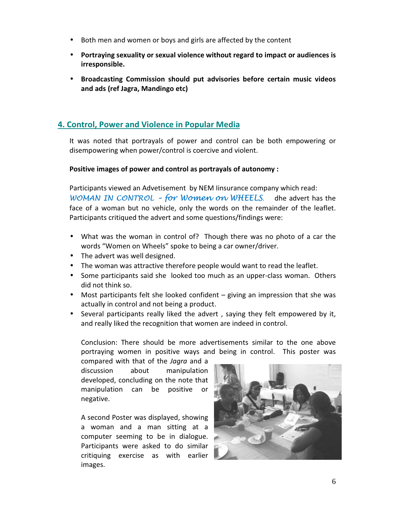- Both men and women or boys and girls are affected by the content
- Portraying sexuality or sexual violence without regard to impact or audiences is irresponsible.
- Broadcasting Commission should put advisories before certain music videos and ads (ref Jagra, Mandingo etc)

## 4. Control, Power and Violence in Popular Media

It was noted that portrayals of power and control can be both empowering or disempowering when power/control is coercive and violent.

#### Positive images of power and control as portrayals of autonomy :

Participants viewed an Advetisement by NEM Iinsurance company which read: WOMAN IN CONTROL - for Women on WHEELS. dhe advert has the face of a woman but no vehicle, only the words on the remainder of the leaflet. Participants critiqued the advert and some questions/findings were:

- What was the woman in control of? Though there was no photo of a car the words "Women on Wheels" spoke to being a car owner/driver.
- The advert was well designed.
- The woman was attractive therefore people would want to read the leaflet.
- Some participants said she looked too much as an upper-class woman. Others did not think so.
- Most participants felt she looked confident giving an impression that she was actually in control and not being a product.
- Several participants really liked the advert , saying they felt empowered by it, and really liked the recognition that women are indeed in control.

Conclusion: There should be more advertisements similar to the one above portraying women in positive ways and being in control. This poster was

compared with that of the Jagra and a discussion about manipulation developed, concluding on the note that manipulation can be positive or negative.

A second Poster was displayed, showing a woman and a man sitting at a computer seeming to be in dialogue. Participants were asked to do similar critiquing exercise as with earlier images.

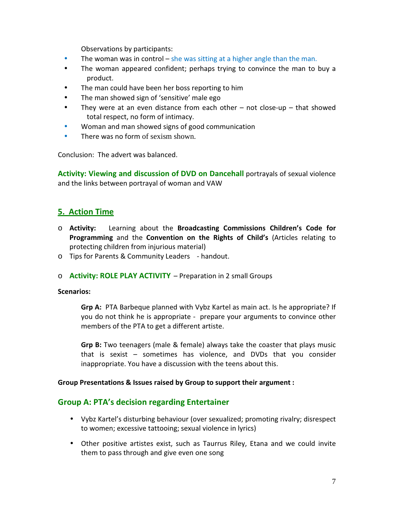Observations by participants:

- The woman was in control she was sitting at a higher angle than the man.
- The woman appeared confident; perhaps trying to convince the man to buy a product.
- The man could have been her boss reporting to him
- The man showed sign of 'sensitive' male ego
- They were at an even distance from each other not close-up that showed total respect, no form of intimacy.
- Woman and man showed signs of good communication
- There was no form of sexism shown

Conclusion: The advert was balanced.

Activity: Viewing and discussion of DVD on Dancehall portrayals of sexual violence and the links between portrayal of woman and VAW

# 5. Action Time

- $\circ$  Activity: Learning about the Broadcasting Commissions Children's Code for Programming and the Convention on the Rights of Child's (Articles relating to protecting children from injurious material)
- o Tips for Parents & Community Leaders handout.
- o Activity: ROLE PLAY ACTIVITY Preparation in 2 small Groups

#### Scenarios:

Grp A: PTA Barbeque planned with Vybz Kartel as main act. Is he appropriate? If you do not think he is appropriate - prepare your arguments to convince other members of the PTA to get a different artiste.

Grp B: Two teenagers (male & female) always take the coaster that plays music that is sexist – sometimes has violence, and DVDs that you consider inappropriate. You have a discussion with the teens about this.

#### Group Presentations & Issues raised by Group to support their argument :

### Group A: PTA's decision regarding Entertainer

- Vybz Kartel's disturbing behaviour (over sexualized; promoting rivalry; disrespect to women; excessive tattooing; sexual violence in lyrics)
- Other positive artistes exist, such as Taurrus Riley, Etana and we could invite them to pass through and give even one song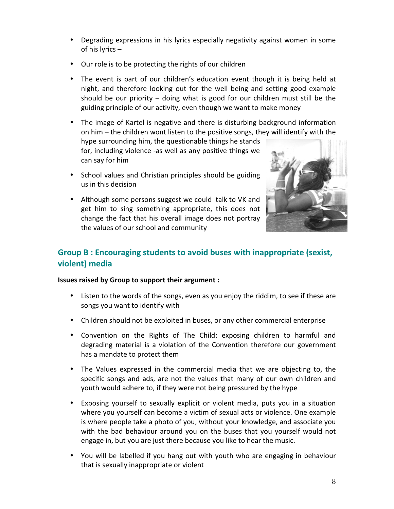- Degrading expressions in his lyrics especially negativity against women in some of his lyrics –
- Our role is to be protecting the rights of our children
- The event is part of our children's education event though it is being held at night, and therefore looking out for the well being and setting good example should be our priority – doing what is good for our children must still be the guiding principle of our activity, even though we want to make money
- The image of Kartel is negative and there is disturbing background information on him – the children wont listen to the positive songs, they will identify with the

hype surrounding him, the questionable things he stands for, including violence -as well as any positive things we can say for him

- School values and Christian principles should be guiding us in this decision
- Although some persons suggest we could talk to VK and get him to sing something appropriate, this does not change the fact that his overall image does not portray the values of our school and community



# Group B : Encouraging students to avoid buses with inappropriate (sexist, violent) media

### Issues raised by Group to support their argument :

- Listen to the words of the songs, even as you enjoy the riddim, to see if these are songs you want to identify with
- Children should not be exploited in buses, or any other commercial enterprise
- Convention on the Rights of The Child: exposing children to harmful and degrading material is a violation of the Convention therefore our government has a mandate to protect them
- The Values expressed in the commercial media that we are objecting to, the specific songs and ads, are not the values that many of our own children and youth would adhere to, if they were not being pressured by the hype
- Exposing yourself to sexually explicit or violent media, puts you in a situation where you yourself can become a victim of sexual acts or violence. One example is where people take a photo of you, without your knowledge, and associate you with the bad behaviour around you on the buses that you yourself would not engage in, but you are just there because you like to hear the music.
- You will be labelled if you hang out with youth who are engaging in behaviour that is sexually inappropriate or violent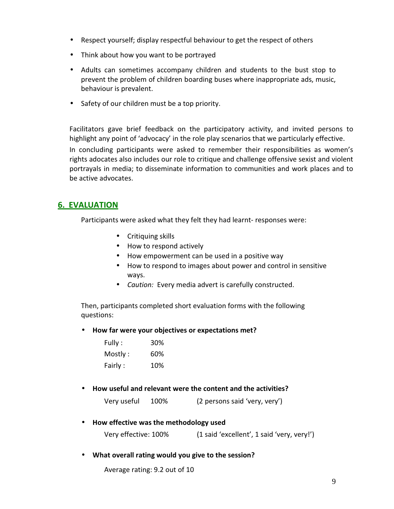- Respect yourself; display respectful behaviour to get the respect of others
- Think about how you want to be portrayed
- Adults can sometimes accompany children and students to the bust stop to prevent the problem of children boarding buses where inappropriate ads, music, behaviour is prevalent.
- Safety of our children must be a top priority.

Facilitators gave brief feedback on the participatory activity, and invited persons to highlight any point of 'advocacy' in the role play scenarios that we particularly effective.

In concluding participants were asked to remember their responsibilities as women's rights adocates also includes our role to critique and challenge offensive sexist and violent portrayals in media; to disseminate information to communities and work places and to be active advocates.

### 6. EVALUATION

Participants were asked what they felt they had learnt- responses were:

- Critiquing skills
- How to respond actively
- How empowerment can be used in a positive way
- How to respond to images about power and control in sensitive ways.
- Caution: Every media advert is carefully constructed.

Then, participants completed short evaluation forms with the following questions:

• How far were your objectives or expectations met?

| Fully :  | 30% |
|----------|-----|
| Mostly : | 60% |
| Fairly : | 10% |

• How useful and relevant were the content and the activities?

Very useful 100% (2 persons said 'very, very')

• How effective was the methodology used

Very effective: 100% (1 said 'excellent', 1 said 'very, very!')

• What overall rating would you give to the session?

Average rating: 9.2 out of 10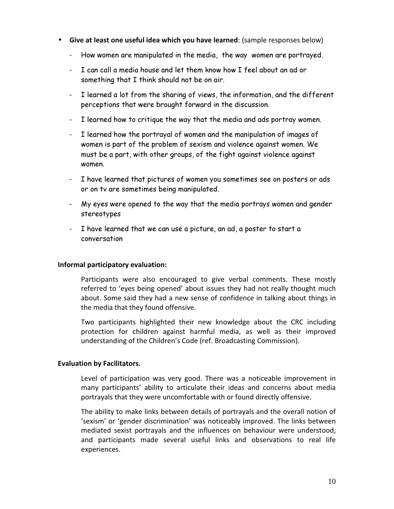- Give at least one useful idea which you have learned: (sample responses below)
	- How women are manipulated in the media, the way women are portrayed.
	- I can call a media house and let them know how I feel about an ad or something that I think should not be on air.
	- I learned a lot from the sharing of views, the information, and the different perceptions that were brought forward in the discussion.
	- I learned how to critique the way that the media and ads portray women.
	- I learned how the portrayal of women and the manipulation of images of women is part of the problem of sexism and violence against women. We must be a part, with other groups, of the fight against violence against women.
	- I have learned that pictures of women you sometimes see on posters or ads or on tv are sometimes being manipulated.
	- My eyes were opened to the way that the media portrays women and gender stereotypes
	- I have learned that we can use a picture, an ad, a poster to start a conversation

#### Informal participatory evaluation:

Participants were also encouraged to give verbal comments. These mostly referred to 'eyes being opened' about issues they had not really thought much about. Some said they had a new sense of confidence in talking about things in the media that they found offensive.

Two participants highlighted their new knowledge about the CRC including protection for children against harmful media, as well as their improved understanding of the Children's Code (ref. Broadcasting Commission).

### Evaluation by Facilitators.

Level of participation was very good. There was a noticeable improvement in many participants' ability to articulate their ideas and concerns about media portrayals that they were uncomfortable with or found directly offensive.

The ability to make links between details of portrayals and the overall notion of 'sexism' or 'gender discrimination' was noticeably improved. The links between mediated sexist portrayals and the influences on behaviour were understood, and participants made several useful links and observations to real life experiences.